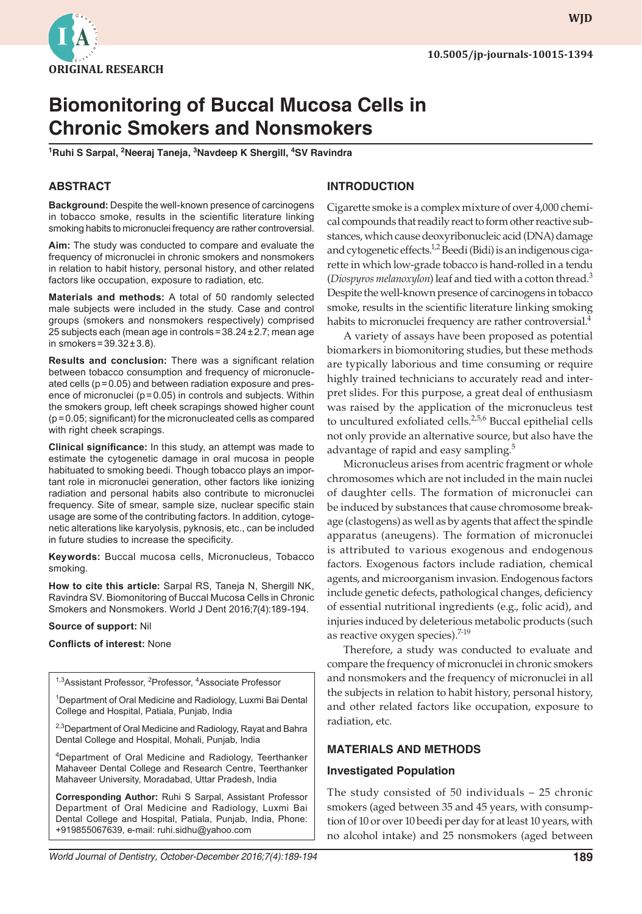

# **Biomonitoring of Buccal Mucosa Cells in Chronic Smokers and Nonsmokers**

<sup>1</sup>Ruhi S Sarpal, <sup>2</sup>Neeraj Taneja, <sup>3</sup>Navdeep K Shergill, <sup>4</sup>SV Ravindra

## **ABSTRACT**

**Background:** Despite the well-known presence of carcinogens in tobacco smoke, results in the scientific literature linking smoking habits to micronuclei frequency are rather controversial.

**Aim:** The study was conducted to compare and evaluate the frequency of micronuclei in chronic smokers and nonsmokers in relation to habit history, personal history, and other related factors like occupation, exposure to radiation, etc.

**Materials and methods:** A total of 50 randomly selected male subjects were included in the study. Case and control groups (smokers and nonsmokers respectively) comprised 25 subjects each (mean age in controls=38.24±2.7; mean age in smokers= $39.32 \pm 3.8$ ).

**Results and conclusion:** There was a significant relation between tobacco consumption and frequency of micronucleated cells (p=0.05) and between radiation exposure and presence of micronuclei ( $p = 0.05$ ) in controls and subjects. Within the smokers group, left cheek scrapings showed higher count (p=0.05; significant) for the micronucleated cells as compared with right cheek scrapings.

**Clinical significance:** In this study, an attempt was made to estimate the cytogenetic damage in oral mucosa in people habituated to smoking beedi. Though tobacco plays an important role in micronuclei generation, other factors like ionizing radiation and personal habits also contribute to micronuclei frequency. Site of smear, sample size, nuclear specific stain usage are some of the contributing factors. In addition, cytogenetic alterations like karyolysis, pyknosis, etc., can be included in future studies to increase the specificity.

**Keywords:** Buccal mucosa cells, Micronucleus, Tobacco smoking.

**How to cite this article:** Sarpal RS, Taneja N, Shergill NK, Ravindra SV. Biomonitoring of Buccal Mucosa Cells in Chronic Smokers and Nonsmokers. World J Dent 2016;7(4):189-194.

**Source of support:** Nil

**Conflicts of interest:** None

| <sup>1,3</sup> Assistant Professor, <sup>2</sup> Professor, <sup>4</sup> Associate Professor |  |
|----------------------------------------------------------------------------------------------|--|
|                                                                                              |  |

<sup>1</sup>Department of Oral Medicine and Radiology, Luxmi Bai Dental College and Hospital, Patiala, Punjab, India

<sup>2,3</sup>Department of Oral Medicine and Radiology, Rayat and Bahra Dental College and Hospital, Mohali, Punjab, India

4Department of Oral Medicine and Radiology, Teerthanker Mahaveer Dental College and Research Centre, Teerthanker Mahaveer University, Moradabad, Uttar Pradesh, India

**Corresponding Author:** Ruhi S Sarpal, Assistant Professor Department of Oral Medicine and Radiology, Luxmi Bai Dental College and Hospital, Patiala, Punjab, India, Phone: +919855067639, e-mail: ruhi.sidhu@yahoo.com

#### **INTRODUCTION**

Cigarette smoke is a complex mixture of over 4,000 chemical compounds that readily react to form other reactive substances, which cause deoxyribonucleic acid (DNA) damage and cytogenetic effects. $1,2$  Beedi (Bidi) is an indigenous cigarette in which low-grade tobacco is hand-rolled in a tendu (*Diospyros melanoxylon*) leaf and tied with a cotton thread.3 Despite the well-known presence of carcinogens in tobacco smoke, results in the scientific literature linking smoking habits to micronuclei frequency are rather controversial.<sup>4</sup>

A variety of assays have been proposed as potential biomarkers in biomonitoring studies, but these methods are typically laborious and time consuming or require highly trained technicians to accurately read and interpret slides. For this purpose, a great deal of enthusiasm was raised by the application of the micronucleus test to uncultured exfoliated cells.<sup>2,5,6</sup> Buccal epithelial cells not only provide an alternative source, but also have the advantage of rapid and easy sampling.<sup>5</sup>

Micronucleus arises from acentric fragment or whole chromosomes which are not included in the main nuclei of daughter cells. The formation of micronuclei can be induced by substances that cause chromosome breakage (clastogens) as well as by agents that affect the spindle apparatus (aneugens). The formation of micronuclei is attributed to various exogenous and endogenous factors. Exogenous factors include radiation, chemical agents, and microorganism invasion. Endogenous factors include genetic defects, pathological changes, deficiency of essential nutritional ingredients (e.g., folic acid), and injuries induced by deleterious metabolic products (such as reactive oxygen species).<sup>7-19</sup>

Therefore, a study was conducted to evaluate and compare the frequency of micronuclei in chronic smokers and nonsmokers and the frequency of micronuclei in all the subjects in relation to habit history, personal history, and other related factors like occupation, exposure to radiation, etc.

#### **MATERIALS AND METHODS**

#### **Investigated Population**

The study consisted of 50 individuals – 25 chronic smokers (aged between 35 and 45 years, with consumption of 10 or over 10 beedi per day for at least 10 years, with no alcohol intake) and 25 nonsmokers (aged between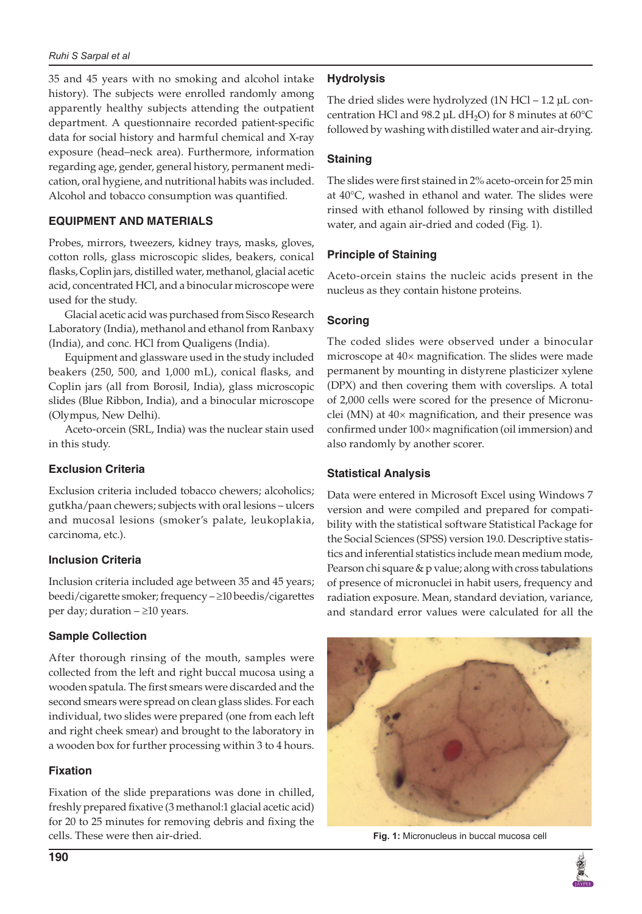35 and 45 years with no smoking and alcohol intake history). The subjects were enrolled randomly among apparently healthy subjects attending the outpatient department. A questionnaire recorded patient-specific data for social history and harmful chemical and X-ray exposure (head–neck area). Furthermore, information regarding age, gender, general history, permanent medication, oral hygiene, and nutritional habits was included. Alcohol and tobacco consumption was quantified.

# **EQUIPMENT AND MATERIALS**

Probes, mirrors, tweezers, kidney trays, masks, gloves, cotton rolls, glass microscopic slides, beakers, conical flasks, Coplin jars, distilled water, methanol, glacial acetic acid, concentrated HCl, and a binocular microscope were used for the study.

Glacial acetic acid was purchased from Sisco Research Laboratory (India), methanol and ethanol from Ranbaxy (India), and conc. HCl from Qualigens (India).

Equipment and glassware used in the study included beakers (250, 500, and 1,000 mL), conical flasks, and Coplin jars (all from Borosil, India), glass microscopic slides (Blue Ribbon, India), and a binocular microscope (Olympus, New Delhi).

Aceto-orcein (SRL, India) was the nuclear stain used in this study.

## **Exclusion Criteria**

Exclusion criteria included tobacco chewers; alcoholics; gutkha/paan chewers; subjects with oral lesions – ulcers and mucosal lesions (smoker's palate, leukoplakia, carcinoma, etc.).

## **Inclusion Criteria**

Inclusion criteria included age between 35 and 45 years; beedi/cigarette smoker; frequency – ≥10 beedis/cigarettes per day; duration – ≥10 years.

# **Sample Collection**

After thorough rinsing of the mouth, samples were collected from the left and right buccal mucosa using a wooden spatula. The first smears were discarded and the second smears were spread on clean glass slides. For each individual, two slides were prepared (one from each left and right cheek smear) and brought to the laboratory in a wooden box for further processing within 3 to 4 hours.

# **Fixation**

Fixation of the slide preparations was done in chilled, freshly prepared fixative (3 methanol:1 glacial acetic acid) for 20 to 25 minutes for removing debris and fixing the cells. These were then air-dried.

# **Hydrolysis**

The dried slides were hydrolyzed (1N HCl – 1.2 µL concentration HCl and 98.2 µL dH<sub>2</sub>O) for 8 minutes at 60 $\degree$ C followed by washing with distilled water and air-drying.

# **Staining**

The slides were first stained in 2% aceto-orcein for 25 min at 40°C, washed in ethanol and water. The slides were rinsed with ethanol followed by rinsing with distilled water, and again air-dried and coded (Fig. 1).

# **Principle of Staining**

Aceto-orcein stains the nucleic acids present in the nucleus as they contain histone proteins.

# **Scoring**

The coded slides were observed under a binocular microscope at 40× magnification. The slides were made permanent by mounting in distyrene plasticizer xylene (DPX) and then covering them with coverslips. A total of 2,000 cells were scored for the presence of Micronuclei (MN) at 40× magnification, and their presence was confirmed under 100× magnification (oil immersion) and also randomly by another scorer.

## **Statistical Analysis**

Data were entered in Microsoft Excel using Windows 7 version and were compiled and prepared for compatibility with the statistical software Statistical Package for the Social Sciences (SPSS) version 19.0. Descriptive statistics and inferential statistics include mean medium mode, Pearson chi square & p value; along with cross tabulations of presence of micronuclei in habit users, frequency and radiation exposure. Mean, standard deviation, variance, and standard error values were calculated for all the



**Fig. 1:** Micronucleus in buccal mucosa cell

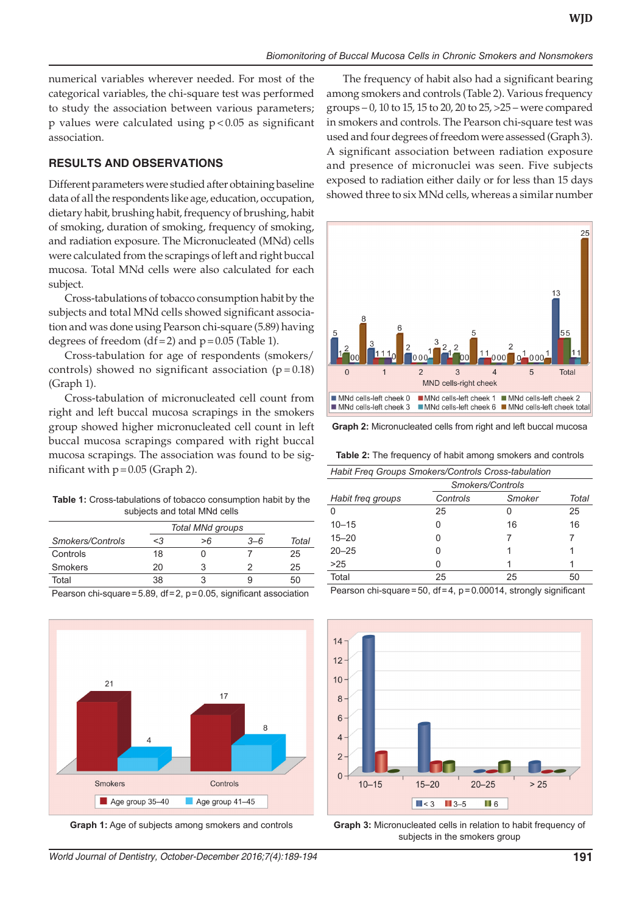numerical variables wherever needed. For most of the categorical variables, the chi-square test was performed to study the association between various parameters; p values were calculated using p<0.05 as significant association.

#### **RESULTS AND OBSERVATIONS**

Different parameters were studied after obtaining baseline data of all the respondents like age, education, occupation, dietary habit, brushing habit, frequency of brushing, habit of smoking, duration of smoking, frequency of smoking, and radiation exposure. The Micronucleated (MNd) cells were calculated from the scrapings of left and right buccal mucosa. Total MNd cells were also calculated for each subject.

Cross-tabulations of tobacco consumption habit by the subjects and total MNd cells showed significant association and was done using Pearson chi-square (5.89) having degrees of freedom  $(df=2)$  and  $p=0.05$  (Table 1).

Cross-tabulation for age of respondents (smokers/ controls) showed no significant association ( $p = 0.18$ ) (Graph 1).

Cross-tabulation of micronucleated cell count from right and left buccal mucosa scrapings in the smokers group showed higher micronucleated cell count in left buccal mucosa scrapings compared with right buccal mucosa scrapings. The association was found to be significant with  $p = 0.05$  (Graph 2).

**Table 1:** Cross-tabulations of tobacco consumption habit by the subjects and total MNd cells

|                                                                          |          | Total MNd groups |         |       |  |
|--------------------------------------------------------------------------|----------|------------------|---------|-------|--|
| Smokers/Controls                                                         | $\leq$ 3 | >6               | $3 - 6$ | Total |  |
| Controls                                                                 | 18       |                  |         | 25    |  |
| Smokers                                                                  | 20       |                  |         | 25    |  |
| Total                                                                    | 38       |                  |         | 50    |  |
| Pearson chi-square=5.89, $df = 2$ , $p = 0.05$ , significant association |          |                  |         |       |  |



**Graph 1:** Age of subjects among smokers and controls

The frequency of habit also had a significant bearing among smokers and controls (Table 2). Various frequency groups – 0, 10 to 15, 15 to 20, 20 to 25, >25 – were compared in smokers and controls. The Pearson chi-square test was used and four degrees of freedom were assessed (Graph 3). A significant association between radiation exposure and presence of micronuclei was seen. Five subjects exposed to radiation either daily or for less than 15 days showed three to six MNd cells, whereas a similar number



**Graph 2:** Micronucleated cells from right and left buccal mucosa

**Table 2:** The frequency of habit among smokers and controls

| Habit Freq Groups Smokers/Controls Cross-tabulation |        |                  |  |  |  |
|-----------------------------------------------------|--------|------------------|--|--|--|
|                                                     |        |                  |  |  |  |
| Controls                                            | Smoker | Total            |  |  |  |
| 25                                                  |        | 25               |  |  |  |
|                                                     | 16     | 16               |  |  |  |
|                                                     |        |                  |  |  |  |
|                                                     |        |                  |  |  |  |
|                                                     |        |                  |  |  |  |
| 25                                                  | 25     | 50               |  |  |  |
|                                                     |        | Smokers/Controls |  |  |  |

Pearson chi-square=50, df=4, p=0.00014, strongly significant



**Graph 3:** Micronucleated cells in relation to habit frequency of subjects in the smokers group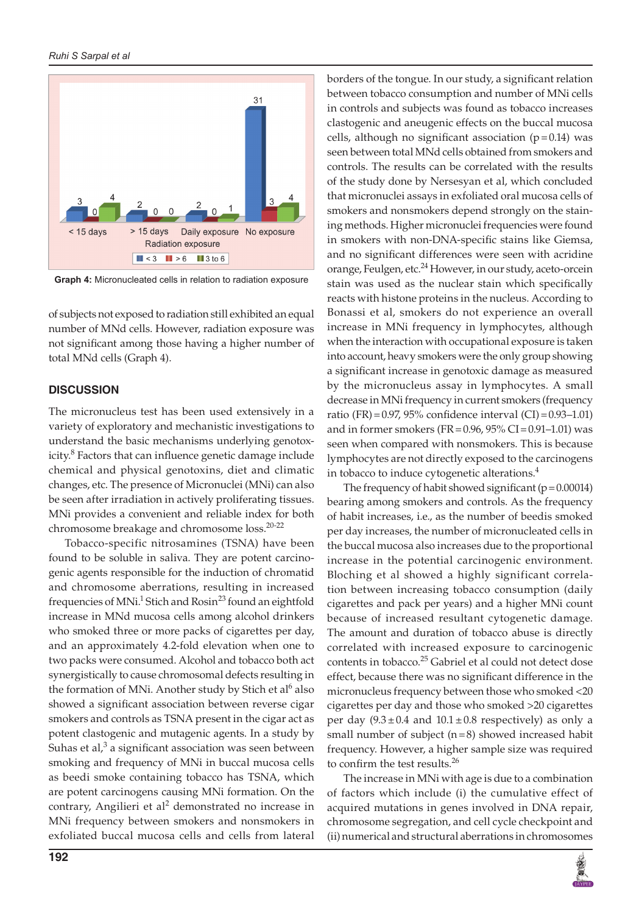

**Graph 4:** Micronucleated cells in relation to radiation exposure

of subjects not exposed to radiation still exhibited an equal number of MNd cells. However, radiation exposure was not significant among those having a higher number of total MNd cells (Graph 4).

#### **DISCUSSION**

The micronucleus test has been used extensively in a variety of exploratory and mechanistic investigations to understand the basic mechanisms underlying genotoxicity.<sup>8</sup> Factors that can influence genetic damage include chemical and physical genotoxins, diet and climatic changes, etc. The presence of Micronuclei (MNi) can also be seen after irradiation in actively proliferating tissues. MNi provides a convenient and reliable index for both chromosome breakage and chromosome loss.20-22

Tobacco-specific nitrosamines (TSNA) have been found to be soluble in saliva. They are potent carcinogenic agents responsible for the induction of chromatid and chromosome aberrations, resulting in increased frequencies of MNi.<sup>1</sup> Stich and Rosin<sup>23</sup> found an eightfold increase in MNd mucosa cells among alcohol drinkers who smoked three or more packs of cigarettes per day, and an approximately 4.2-fold elevation when one to two packs were consumed. Alcohol and tobacco both act synergistically to cause chromosomal defects resulting in the formation of MNi. Another study by Stich et al<sup>6</sup> also showed a significant association between reverse cigar smokers and controls as TSNA present in the cigar act as potent clastogenic and mutagenic agents. In a study by Suhas et al, $3$  a significant association was seen between smoking and frequency of MNi in buccal mucosa cells as beedi smoke containing tobacco has TSNA, which are potent carcinogens causing MNi formation. On the contrary, Angilieri et al<sup>2</sup> demonstrated no increase in MNi frequency between smokers and nonsmokers in exfoliated buccal mucosa cells and cells from lateral

borders of the tongue. In our study, a significant relation between tobacco consumption and number of MNi cells in controls and subjects was found as tobacco increases clastogenic and aneugenic effects on the buccal mucosa cells, although no significant association  $(p=0.14)$  was seen between total MNd cells obtained from smokers and controls. The results can be correlated with the results of the study done by Nersesyan et al, which concluded that micronuclei assays in exfoliated oral mucosa cells of smokers and nonsmokers depend strongly on the staining methods. Higher micronuclei frequencies were found in smokers with non-DNA-specific stains like Giemsa, and no significant differences were seen with acridine orange, Feulgen, etc.<sup>24</sup> However, in our study, aceto-orcein stain was used as the nuclear stain which specifically reacts with histone proteins in the nucleus. According to Bonassi et al, smokers do not experience an overall increase in MNi frequency in lymphocytes, although when the interaction with occupational exposure is taken into account, heavy smokers were the only group showing a significant increase in genotoxic damage as measured by the micronucleus assay in lymphocytes. A small decrease in MNi frequency in current smokers (frequency ratio (FR) =  $0.97$ ,  $95\%$  confidence interval (CI) =  $0.93-1.01$ ) and in former smokers (FR=0.96,  $95\%$  CI=0.91–1.01) was seen when compared with nonsmokers. This is because lymphocytes are not directly exposed to the carcinogens in tobacco to induce cytogenetic alterations.<sup>4</sup>

The frequency of habit showed significant ( $p = 0.00014$ ) bearing among smokers and controls. As the frequency of habit increases, i.e., as the number of beedis smoked per day increases, the number of micronucleated cells in the buccal mucosa also increases due to the proportional increase in the potential carcinogenic environment. Bloching et al showed a highly significant correlation between increasing tobacco consumption (daily cigarettes and pack per years) and a higher MNi count because of increased resultant cytogenetic damage. The amount and duration of tobacco abuse is directly correlated with increased exposure to carcinogenic contents in tobacco.<sup>25</sup> Gabriel et al could not detect dose effect, because there was no significant difference in the micronucleus frequency between those who smoked <20 cigarettes per day and those who smoked >20 cigarettes per day  $(9.3 \pm 0.4$  and  $10.1 \pm 0.8$  respectively) as only a small number of subject  $(n=8)$  showed increased habit frequency. However, a higher sample size was required to confirm the test results.<sup>26</sup>

The increase in MNi with age is due to a combination of factors which include (i) the cumulative effect of acquired mutations in genes involved in DNA repair, chromosome segregation, and cell cycle checkpoint and (ii) numerical and structural aberrations in chromosomes

鹰属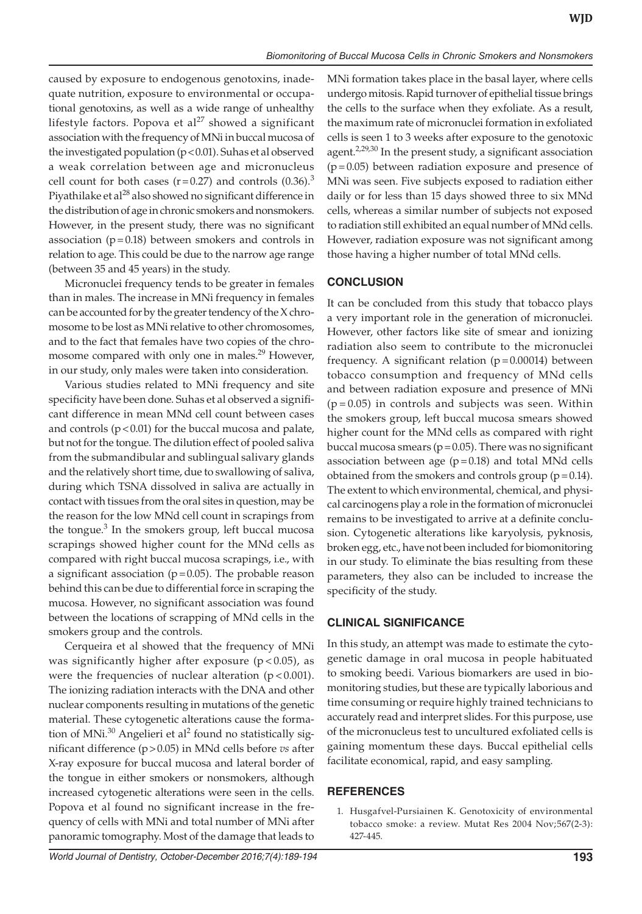caused by exposure to endogenous genotoxins, inadequate nutrition, exposure to environmental or occupational genotoxins, as well as a wide range of unhealthy lifestyle factors. Popova et al<sup>27</sup> showed a significant association with the frequency of MNi in buccal mucosa of the investigated population ( $p < 0.01$ ). Suhas et al observed a weak correlation between age and micronucleus cell count for both cases ( $r=0.27$ ) and controls (0.36).<sup>3</sup> Piyathilake et al<sup>28</sup> also showed no significant difference in the distribution of age in chronic smokers and nonsmokers. However, in the present study, there was no significant association  $(p=0.18)$  between smokers and controls in relation to age. This could be due to the narrow age range (between 35 and 45 years) in the study.

Micronuclei frequency tends to be greater in females than in males. The increase in MNi frequency in females can be accounted for by the greater tendency of the X chromosome to be lost as MNi relative to other chromosomes, and to the fact that females have two copies of the chromosome compared with only one in males.<sup>29</sup> However, in our study, only males were taken into consideration.

Various studies related to MNi frequency and site specificity have been done. Suhas et al observed a significant difference in mean MNd cell count between cases and controls  $(p<0.01)$  for the buccal mucosa and palate, but not for the tongue. The dilution effect of pooled saliva from the submandibular and sublingual salivary glands and the relatively short time, due to swallowing of saliva, during which TSNA dissolved in saliva are actually in contact with tissues from the oral sites in question, may be the reason for the low MNd cell count in scrapings from the tongue.<sup>3</sup> In the smokers group, left buccal mucosa scrapings showed higher count for the MNd cells as compared with right buccal mucosa scrapings, i.e., with a significant association ( $p=0.05$ ). The probable reason behind this can be due to differential force in scraping the mucosa. However, no significant association was found between the locations of scrapping of MNd cells in the smokers group and the controls.

Cerqueira et al showed that the frequency of MNi was significantly higher after exposure  $(p < 0.05)$ , as were the frequencies of nuclear alteration  $(p < 0.001)$ . The ionizing radiation interacts with the DNA and other nuclear components resulting in mutations of the genetic material. These cytogenetic alterations cause the formation of MNi. $^{30}$  Angelieri et al<sup>2</sup> found no statistically significant difference (p>0.05) in MNd cells before *vs* after X-ray exposure for buccal mucosa and lateral border of the tongue in either smokers or nonsmokers, although increased cytogenetic alterations were seen in the cells. Popova et al found no significant increase in the frequency of cells with MNi and total number of MNi after panoramic tomography. Most of the damage that leads to

MNi formation takes place in the basal layer, where cells undergo mitosis. Rapid turnover of epithelial tissue brings the cells to the surface when they exfoliate. As a result, the maximum rate of micronuclei formation in exfoliated cells is seen 1 to 3 weeks after exposure to the genotoxic agent.<sup>2,29,30</sup> In the present study, a significant association (p=0.05) between radiation exposure and presence of MNi was seen. Five subjects exposed to radiation either daily or for less than 15 days showed three to six MNd cells, whereas a similar number of subjects not exposed to radiation still exhibited an equal number of MNd cells. However, radiation exposure was not significant among those having a higher number of total MNd cells.

# **CONCLUSION**

It can be concluded from this study that tobacco plays a very important role in the generation of micronuclei. However, other factors like site of smear and ionizing radiation also seem to contribute to the micronuclei frequency. A significant relation  $(p=0.00014)$  between tobacco consumption and frequency of MNd cells and between radiation exposure and presence of MNi  $(p=0.05)$  in controls and subjects was seen. Within the smokers group, left buccal mucosa smears showed higher count for the MNd cells as compared with right buccal mucosa smears ( $p=0.05$ ). There was no significant association between age  $(p=0.18)$  and total MNd cells obtained from the smokers and controls group ( $p = 0.14$ ). The extent to which environmental, chemical, and physical carcinogens play a role in the formation of micronuclei remains to be investigated to arrive at a definite conclusion. Cytogenetic alterations like karyolysis, pyknosis, broken egg, etc., have not been included for biomonitoring in our study. To eliminate the bias resulting from these parameters, they also can be included to increase the specificity of the study.

## **CLINICAL SIGNIFICANCE**

In this study, an attempt was made to estimate the cytogenetic damage in oral mucosa in people habituated to smoking beedi. Various biomarkers are used in biomonitoring studies, but these are typically laborious and time consuming or require highly trained technicians to accurately read and interpret slides. For this purpose, use of the micronucleus test to uncultured exfoliated cells is gaining momentum these days. Buccal epithelial cells facilitate economical, rapid, and easy sampling.

## **REFERENCES**

1. Husgafvel-Pursiainen K. Genotoxicity of environmental tobacco smoke: a review. Mutat Res 2004 Nov;567(2-3): 427-445.